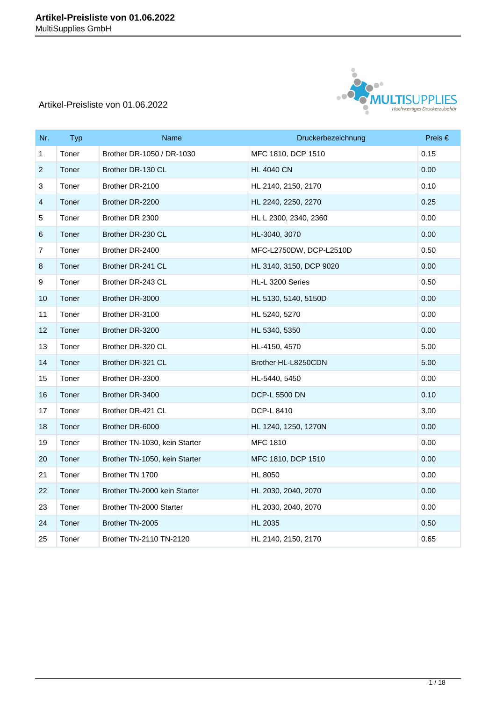

| Nr.                       | <b>Typ</b> | Name                          | Druckerbezeichnung      | Preis $\in$ |
|---------------------------|------------|-------------------------------|-------------------------|-------------|
| $\mathbf{1}$              | Toner      | Brother DR-1050 / DR-1030     | MFC 1810, DCP 1510      | 0.15        |
| $\overline{2}$            | Toner      | Brother DR-130 CL             | <b>HL 4040 CN</b>       | 0.00        |
| $\ensuremath{\mathsf{3}}$ | Toner      | Brother DR-2100               | HL 2140, 2150, 2170     | 0.10        |
| $\overline{\mathbf{4}}$   | Toner      | Brother DR-2200               | HL 2240, 2250, 2270     | 0.25        |
| 5                         | Toner      | Brother DR 2300               | HL L 2300, 2340, 2360   | 0.00        |
| $\,6\,$                   | Toner      | Brother DR-230 CL             | HL-3040, 3070           | 0.00        |
| $\overline{7}$            | Toner      | Brother DR-2400               | MFC-L2750DW, DCP-L2510D | 0.50        |
| $\bf 8$                   | Toner      | Brother DR-241 CL             | HL 3140, 3150, DCP 9020 | 0.00        |
| $\boldsymbol{9}$          | Toner      | Brother DR-243 CL             | HL-L 3200 Series        | 0.50        |
| 10                        | Toner      | Brother DR-3000               | HL 5130, 5140, 5150D    | 0.00        |
| 11                        | Toner      | Brother DR-3100               | HL 5240, 5270           | 0.00        |
| 12                        | Toner      | Brother DR-3200               | HL 5340, 5350           | 0.00        |
| 13                        | Toner      | Brother DR-320 CL             | HL-4150, 4570           | 5.00        |
| 14                        | Toner      | Brother DR-321 CL             | Brother HL-L8250CDN     | 5.00        |
| 15                        | Toner      | Brother DR-3300               | HL-5440, 5450           | 0.00        |
| 16                        | Toner      | Brother DR-3400               | <b>DCP-L 5500 DN</b>    | 0.10        |
| 17                        | Toner      | Brother DR-421 CL             | DCP-L 8410              | 3.00        |
| 18                        | Toner      | Brother DR-6000               | HL 1240, 1250, 1270N    | 0.00        |
| 19                        | Toner      | Brother TN-1030, kein Starter | <b>MFC 1810</b>         | 0.00        |
| 20                        | Toner      | Brother TN-1050, kein Starter | MFC 1810, DCP 1510      | 0.00        |
| 21                        | Toner      | Brother TN 1700               | <b>HL 8050</b>          | 0.00        |
| 22                        | Toner      | Brother TN-2000 kein Starter  | HL 2030, 2040, 2070     | 0.00        |
| 23                        | Toner      | Brother TN-2000 Starter       | HL 2030, 2040, 2070     | 0.00        |
| 24                        | Toner      | Brother TN-2005               | <b>HL 2035</b>          | 0.50        |
| 25                        | Toner      | Brother TN-2110 TN-2120       | HL 2140, 2150, 2170     | 0.65        |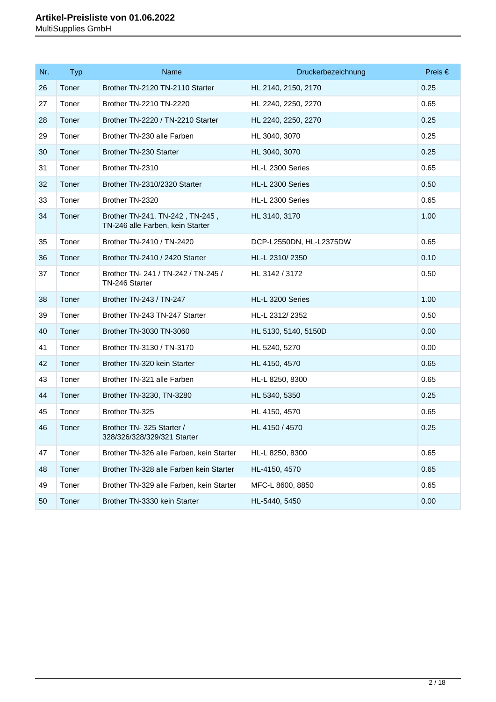| Nr. | <b>Typ</b> | Name                                                                | Druckerbezeichnung      | Preis $\in$ |
|-----|------------|---------------------------------------------------------------------|-------------------------|-------------|
| 26  | Toner      | Brother TN-2120 TN-2110 Starter                                     | HL 2140, 2150, 2170     | 0.25        |
| 27  | Toner      | Brother TN-2210 TN-2220                                             | HL 2240, 2250, 2270     | 0.65        |
| 28  | Toner      | Brother TN-2220 / TN-2210 Starter                                   | HL 2240, 2250, 2270     | 0.25        |
| 29  | Toner      | Brother TN-230 alle Farben                                          | HL 3040, 3070           | 0.25        |
| 30  | Toner      | <b>Brother TN-230 Starter</b>                                       | HL 3040, 3070           | 0.25        |
| 31  | Toner      | Brother TN-2310                                                     | HL-L 2300 Series        | 0.65        |
| 32  | Toner      | Brother TN-2310/2320 Starter                                        | HL-L 2300 Series        | 0.50        |
| 33  | Toner      | Brother TN-2320                                                     | HL-L 2300 Series        | 0.65        |
| 34  | Toner      | Brother TN-241. TN-242, TN-245,<br>TN-246 alle Farben, kein Starter | HL 3140, 3170           | 1.00        |
| 35  | Toner      | Brother TN-2410 / TN-2420                                           | DCP-L2550DN, HL-L2375DW | 0.65        |
| 36  | Toner      | Brother TN-2410 / 2420 Starter                                      | HL-L 2310/2350          | 0.10        |
| 37  | Toner      | Brother TN-241 / TN-242 / TN-245 /<br>TN-246 Starter                | HL 3142 / 3172          | 0.50        |
| 38  | Toner      | Brother TN-243 / TN-247                                             | HL-L 3200 Series        | 1.00        |
| 39  | Toner      | Brother TN-243 TN-247 Starter                                       | HL-L 2312/2352          | 0.50        |
| 40  | Toner      | Brother TN-3030 TN-3060                                             | HL 5130, 5140, 5150D    | 0.00        |
| 41  | Toner      | Brother TN-3130 / TN-3170                                           | HL 5240, 5270           | 0.00        |
| 42  | Toner      | Brother TN-320 kein Starter                                         | HL 4150, 4570           | 0.65        |
| 43  | Toner      | Brother TN-321 alle Farben                                          | HL-L 8250, 8300         | 0.65        |
| 44  | Toner      | Brother TN-3230, TN-3280                                            | HL 5340, 5350           | 0.25        |
| 45  | Toner      | Brother TN-325                                                      | HL 4150, 4570           | 0.65        |
| 46  | Toner      | Brother TN-325 Starter /<br>328/326/328/329/321 Starter             | HL 4150 / 4570          | 0.25        |
| 47  | Toner      | Brother TN-326 alle Farben, kein Starter                            | HL-L 8250, 8300         | 0.65        |
| 48  | Toner      | Brother TN-328 alle Farben kein Starter                             | HL-4150, 4570           | 0.65        |
| 49  | Toner      | Brother TN-329 alle Farben, kein Starter                            | MFC-L 8600, 8850        | 0.65        |
| 50  | Toner      | Brother TN-3330 kein Starter                                        | HL-5440, 5450           | 0.00        |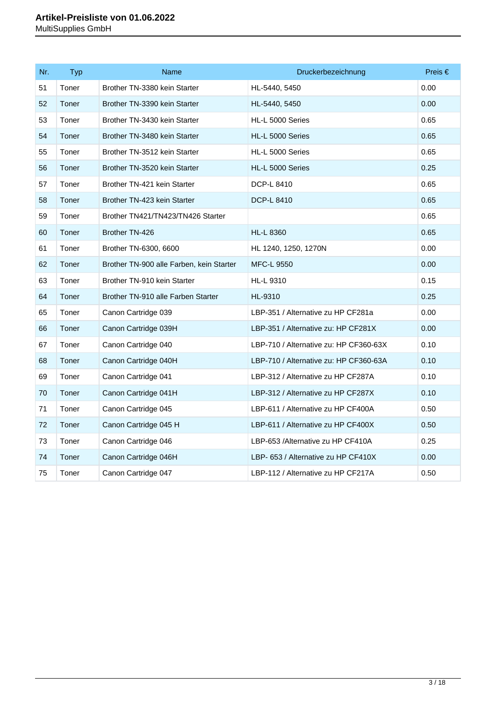| Nr. | <b>Typ</b> | Name                                     | Druckerbezeichnung                     | Preis $\in$ |
|-----|------------|------------------------------------------|----------------------------------------|-------------|
| 51  | Toner      | Brother TN-3380 kein Starter             | HL-5440, 5450                          | 0.00        |
| 52  | Toner      | Brother TN-3390 kein Starter             | HL-5440, 5450                          | 0.00        |
| 53  | Toner      | Brother TN-3430 kein Starter             | HL-L 5000 Series                       | 0.65        |
| 54  | Toner      | Brother TN-3480 kein Starter             | HL-L 5000 Series                       | 0.65        |
| 55  | Toner      | Brother TN-3512 kein Starter             | HL-L 5000 Series                       | 0.65        |
| 56  | Toner      | Brother TN-3520 kein Starter             | HL-L 5000 Series                       | 0.25        |
| 57  | Toner      | Brother TN-421 kein Starter              | DCP-L 8410                             | 0.65        |
| 58  | Toner      | Brother TN-423 kein Starter              | <b>DCP-L 8410</b>                      | 0.65        |
| 59  | Toner      | Brother TN421/TN423/TN426 Starter        |                                        | 0.65        |
| 60  | Toner      | Brother TN-426                           | <b>HL-L 8360</b>                       | 0.65        |
| 61  | Toner      | Brother TN-6300, 6600                    | HL 1240, 1250, 1270N                   | 0.00        |
| 62  | Toner      | Brother TN-900 alle Farben, kein Starter | <b>MFC-L 9550</b>                      | 0.00        |
| 63  | Toner      | Brother TN-910 kein Starter              | HL-L 9310                              | 0.15        |
| 64  | Toner      | Brother TN-910 alle Farben Starter       | HL-9310                                | 0.25        |
| 65  | Toner      | Canon Cartridge 039                      | LBP-351 / Alternative zu HP CF281a     | 0.00        |
| 66  | Toner      | Canon Cartridge 039H                     | LBP-351 / Alternative zu: HP CF281X    | 0.00        |
| 67  | Toner      | Canon Cartridge 040                      | LBP-710 / Alternative zu: HP CF360-63X | 0.10        |
| 68  | Toner      | Canon Cartridge 040H                     | LBP-710 / Alternative zu: HP CF360-63A | 0.10        |
| 69  | Toner      | Canon Cartridge 041                      | LBP-312 / Alternative zu HP CF287A     | 0.10        |
| 70  | Toner      | Canon Cartridge 041H                     | LBP-312 / Alternative zu HP CF287X     | 0.10        |
| 71  | Toner      | Canon Cartridge 045                      | LBP-611 / Alternative zu HP CF400A     | 0.50        |
| 72  | Toner      | Canon Cartridge 045 H                    | LBP-611 / Alternative zu HP CF400X     | 0.50        |
| 73  | Toner      | Canon Cartridge 046                      | LBP-653 /Alternative zu HP CF410A      | 0.25        |
| 74  | Toner      | Canon Cartridge 046H                     | LBP- 653 / Alternative zu HP CF410X    | 0.00        |
| 75  | Toner      | Canon Cartridge 047                      | LBP-112 / Alternative zu HP CF217A     | 0.50        |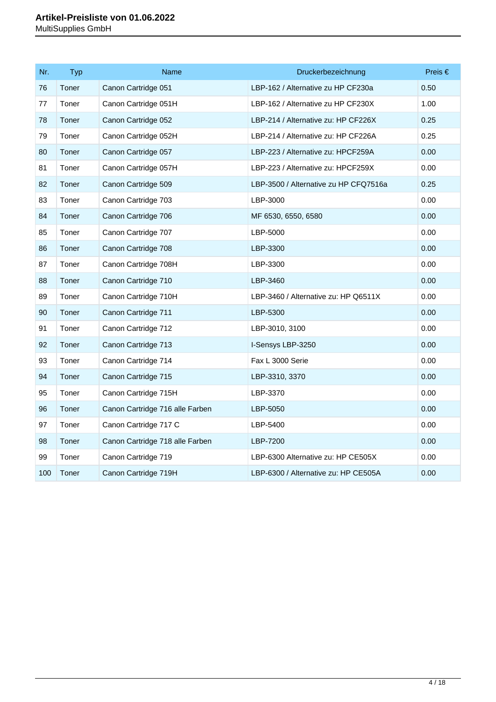| Nr. | <b>Typ</b> | Name                            | Druckerbezeichnung                    | Preis $\in$ |
|-----|------------|---------------------------------|---------------------------------------|-------------|
| 76  | Toner      | Canon Cartridge 051             | LBP-162 / Alternative zu HP CF230a    | 0.50        |
| 77  | Toner      | Canon Cartridge 051H            | LBP-162 / Alternative zu HP CF230X    | 1.00        |
| 78  | Toner      | Canon Cartridge 052             | LBP-214 / Alternative zu: HP CF226X   | 0.25        |
| 79  | Toner      | Canon Cartridge 052H            | LBP-214 / Alternative zu: HP CF226A   | 0.25        |
| 80  | Toner      | Canon Cartridge 057             | LBP-223 / Alternative zu: HPCF259A    | 0.00        |
| 81  | Toner      | Canon Cartridge 057H            | LBP-223 / Alternative zu: HPCF259X    | 0.00        |
| 82  | Toner      | Canon Cartridge 509             | LBP-3500 / Alternative zu HP CFQ7516a | 0.25        |
| 83  | Toner      | Canon Cartridge 703             | LBP-3000                              | 0.00        |
| 84  | Toner      | Canon Cartridge 706             | MF 6530, 6550, 6580                   | 0.00        |
| 85  | Toner      | Canon Cartridge 707             | LBP-5000                              | 0.00        |
| 86  | Toner      | Canon Cartridge 708             | LBP-3300                              | 0.00        |
| 87  | Toner      | Canon Cartridge 708H            | LBP-3300                              | 0.00        |
| 88  | Toner      | Canon Cartridge 710             | LBP-3460                              | 0.00        |
| 89  | Toner      | Canon Cartridge 710H            | LBP-3460 / Alternative zu: HP Q6511X  | 0.00        |
| 90  | Toner      | Canon Cartridge 711             | LBP-5300                              | 0.00        |
| 91  | Toner      | Canon Cartridge 712             | LBP-3010, 3100                        | 0.00        |
| 92  | Toner      | Canon Cartridge 713             | I-Sensys LBP-3250                     | 0.00        |
| 93  | Toner      | Canon Cartridge 714             | Fax L 3000 Serie                      | 0.00        |
| 94  | Toner      | Canon Cartridge 715             | LBP-3310, 3370                        | 0.00        |
| 95  | Toner      | Canon Cartridge 715H            | LBP-3370                              | 0.00        |
| 96  | Toner      | Canon Cartridge 716 alle Farben | LBP-5050                              | 0.00        |
| 97  | Toner      | Canon Cartridge 717 C           | LBP-5400                              | 0.00        |
| 98  | Toner      | Canon Cartridge 718 alle Farben | LBP-7200                              | 0.00        |
| 99  | Toner      | Canon Cartridge 719             | LBP-6300 Alternative zu: HP CE505X    | 0.00        |
| 100 | Toner      | Canon Cartridge 719H            | LBP-6300 / Alternative zu: HP CE505A  | 0.00        |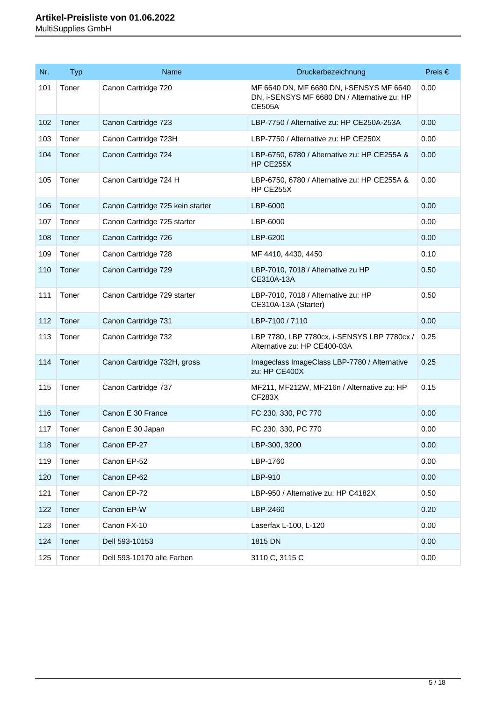| Nr. | <b>Typ</b> | Name                             | Druckerbezeichnung                                                                                        | Preis $\in$ |
|-----|------------|----------------------------------|-----------------------------------------------------------------------------------------------------------|-------------|
| 101 | Toner      | Canon Cartridge 720              | MF 6640 DN, MF 6680 DN, i-SENSYS MF 6640<br>DN, i-SENSYS MF 6680 DN / Alternative zu: HP<br><b>CE505A</b> | 0.00        |
| 102 | Toner      | Canon Cartridge 723              | LBP-7750 / Alternative zu: HP CE250A-253A                                                                 | 0.00        |
| 103 | Toner      | Canon Cartridge 723H             | LBP-7750 / Alternative zu: HP CE250X                                                                      | 0.00        |
| 104 | Toner      | Canon Cartridge 724              | LBP-6750, 6780 / Alternative zu: HP CE255A &<br><b>HP CE255X</b>                                          | 0.00        |
| 105 | Toner      | Canon Cartridge 724 H            | LBP-6750, 6780 / Alternative zu: HP CE255A &<br>HP CE255X                                                 | 0.00        |
| 106 | Toner      | Canon Cartridge 725 kein starter | LBP-6000                                                                                                  | 0.00        |
| 107 | Toner      | Canon Cartridge 725 starter      | LBP-6000                                                                                                  | 0.00        |
| 108 | Toner      | Canon Cartridge 726              | LBP-6200                                                                                                  | 0.00        |
| 109 | Toner      | Canon Cartridge 728              | MF 4410, 4430, 4450                                                                                       | 0.10        |
| 110 | Toner      | Canon Cartridge 729              | LBP-7010, 7018 / Alternative zu HP<br>CE310A-13A                                                          | 0.50        |
| 111 | Toner      | Canon Cartridge 729 starter      | LBP-7010, 7018 / Alternative zu: HP<br>CE310A-13A (Starter)                                               | 0.50        |
| 112 | Toner      | Canon Cartridge 731              | LBP-7100 / 7110                                                                                           | 0.00        |
| 113 | Toner      | Canon Cartridge 732              | LBP 7780, LBP 7780cx, i-SENSYS LBP 7780cx /<br>Alternative zu: HP CE400-03A                               | 0.25        |
| 114 | Toner      | Canon Cartridge 732H, gross      | Imageclass ImageClass LBP-7780 / Alternative<br>zu: HP CE400X                                             | 0.25        |
| 115 | Toner      | Canon Cartridge 737              | MF211, MF212W, MF216n / Alternative zu: HP<br><b>CF283X</b>                                               | 0.15        |
| 116 | Toner      | Canon E 30 France                | FC 230, 330, PC 770                                                                                       | 0.00        |
| 117 | Toner      | Canon E 30 Japan                 | FC 230, 330, PC 770                                                                                       | 0.00        |
| 118 | Toner      | Canon EP-27                      | LBP-300, 3200                                                                                             | 0.00        |
| 119 | Toner      | Canon EP-52                      | LBP-1760                                                                                                  | 0.00        |
| 120 | Toner      | Canon EP-62                      | LBP-910                                                                                                   | 0.00        |
| 121 | Toner      | Canon EP-72                      | LBP-950 / Alternative zu: HP C4182X                                                                       | 0.50        |
| 122 | Toner      | Canon EP-W                       | LBP-2460                                                                                                  | 0.20        |
| 123 | Toner      | Canon FX-10                      | Laserfax L-100, L-120                                                                                     | 0.00        |
| 124 | Toner      | Dell 593-10153                   | 1815 DN                                                                                                   | 0.00        |
| 125 | Toner      | Dell 593-10170 alle Farben       | 3110 C, 3115 C                                                                                            | 0.00        |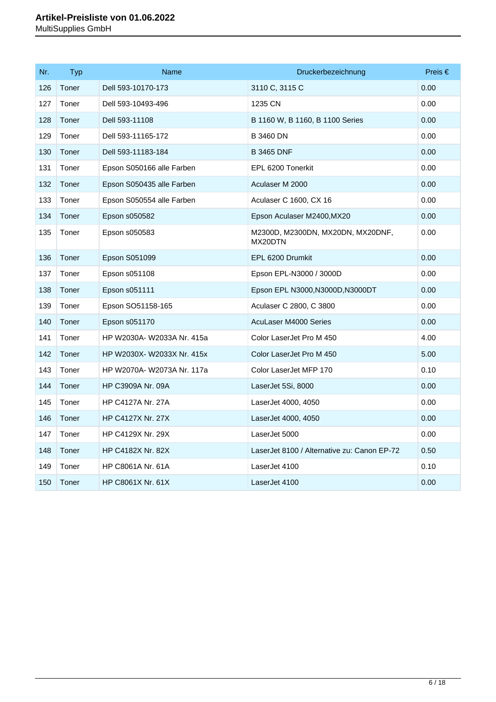| Nr. | <b>Typ</b> | <b>Name</b>                | Druckerbezeichnung                           | Preis $\in$ |
|-----|------------|----------------------------|----------------------------------------------|-------------|
| 126 | Toner      | Dell 593-10170-173         | 3110 C, 3115 C                               | 0.00        |
| 127 | Toner      | Dell 593-10493-496         | 1235 CN                                      | 0.00        |
| 128 | Toner      | Dell 593-11108             | B 1160 W, B 1160, B 1100 Series              | 0.00        |
| 129 | Toner      | Dell 593-11165-172         | <b>B 3460 DN</b>                             | 0.00        |
| 130 | Toner      | Dell 593-11183-184         | <b>B 3465 DNF</b>                            | 0.00        |
| 131 | Toner      | Epson S050166 alle Farben  | EPL 6200 Tonerkit                            | 0.00        |
| 132 | Toner      | Epson S050435 alle Farben  | Aculaser M 2000                              | 0.00        |
| 133 | Toner      | Epson S050554 alle Farben  | Aculaser C 1600, CX 16                       | 0.00        |
| 134 | Toner      | Epson s050582              | Epson Aculaser M2400, MX20                   | 0.00        |
| 135 | Toner      | Epson s050583              | M2300D, M2300DN, MX20DN, MX20DNF,<br>MX20DTN | 0.00        |
| 136 | Toner      | Epson S051099              | EPL 6200 Drumkit                             | 0.00        |
| 137 | Toner      | Epson s051108              | Epson EPL-N3000 / 3000D                      | 0.00        |
| 138 | Toner      | Epson s051111              | Epson EPL N3000, N3000D, N3000DT             | 0.00        |
| 139 | Toner      | Epson SO51158-165          | Aculaser C 2800, C 3800                      | 0.00        |
| 140 | Toner      | Epson s051170              | AcuLaser M4000 Series                        | 0.00        |
| 141 | Toner      | HP W2030A- W2033A Nr. 415a | Color LaserJet Pro M 450                     | 4.00        |
| 142 | Toner      | HP W2030X- W2033X Nr. 415x | Color LaserJet Pro M 450                     | 5.00        |
| 143 | Toner      | HP W2070A- W2073A Nr. 117a | Color LaserJet MFP 170                       | 0.10        |
| 144 | Toner      | <b>HP C3909A Nr. 09A</b>   | LaserJet 5Si, 8000                           | 0.00        |
| 145 | Toner      | <b>HP C4127A Nr. 27A</b>   | LaserJet 4000, 4050                          | 0.00        |
| 146 | Toner      | <b>HP C4127X Nr. 27X</b>   | LaserJet 4000, 4050                          | 0.00        |
| 147 | Toner      | HP C4129X Nr. 29X          | LaserJet 5000                                | 0.00        |
| 148 | Toner      | HP C4182X Nr. 82X          | LaserJet 8100 / Alternative zu: Canon EP-72  | 0.50        |
| 149 | Toner      | HP C8061A Nr. 61A          | LaserJet 4100                                | 0.10        |
| 150 | Toner      | HP C8061X Nr. 61X          | LaserJet 4100                                | 0.00        |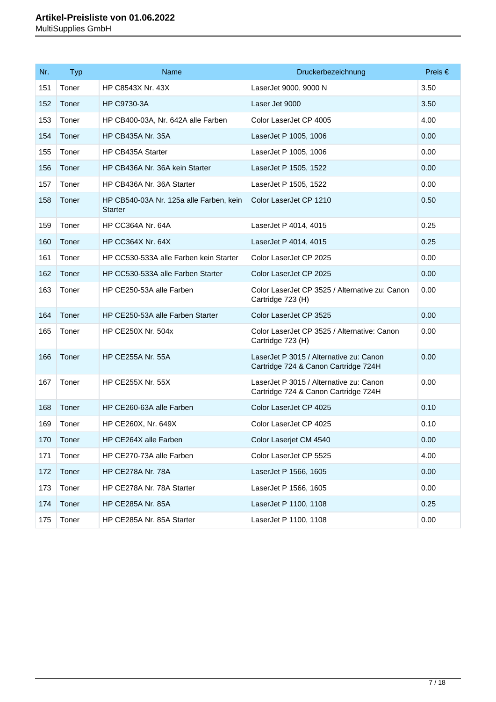| Nr. | <b>Typ</b> | Name                                                      | Druckerbezeichnung                                                              | Preis $\in$ |
|-----|------------|-----------------------------------------------------------|---------------------------------------------------------------------------------|-------------|
| 151 | Toner      | HP C8543X Nr. 43X                                         | LaserJet 9000, 9000 N                                                           | 3.50        |
| 152 | Toner      | HP C9730-3A                                               | Laser Jet 9000                                                                  | 3.50        |
| 153 | Toner      | HP CB400-03A, Nr. 642A alle Farben                        | Color LaserJet CP 4005                                                          | 4.00        |
| 154 | Toner      | <b>HP CB435A Nr. 35A</b>                                  | LaserJet P 1005, 1006                                                           | 0.00        |
| 155 | Toner      | HP CB435A Starter                                         | LaserJet P 1005, 1006                                                           | 0.00        |
| 156 | Toner      | HP CB436A Nr. 36A kein Starter                            | LaserJet P 1505, 1522                                                           | 0.00        |
| 157 | Toner      | HP CB436A Nr. 36A Starter                                 | LaserJet P 1505, 1522                                                           | 0.00        |
| 158 | Toner      | HP CB540-03A Nr. 125a alle Farben, kein<br><b>Starter</b> | Color LaserJet CP 1210                                                          | 0.50        |
| 159 | Toner      | <b>HP CC364A Nr. 64A</b>                                  | LaserJet P 4014, 4015                                                           | 0.25        |
| 160 | Toner      | <b>HP CC364X Nr. 64X</b>                                  | LaserJet P 4014, 4015                                                           | 0.25        |
| 161 | Toner      | HP CC530-533A alle Farben kein Starter                    | Color LaserJet CP 2025                                                          | 0.00        |
| 162 | Toner      | HP CC530-533A alle Farben Starter                         | Color LaserJet CP 2025                                                          | 0.00        |
| 163 | Toner      | HP CE250-53A alle Farben                                  | Color LaserJet CP 3525 / Alternative zu: Canon<br>Cartridge 723 (H)             | 0.00        |
| 164 | Toner      | HP CE250-53A alle Farben Starter                          | Color LaserJet CP 3525                                                          | 0.00        |
| 165 | Toner      | HP CE250X Nr. 504x                                        | Color LaserJet CP 3525 / Alternative: Canon<br>Cartridge 723 (H)                | 0.00        |
| 166 | Toner      | <b>HP CE255A Nr. 55A</b>                                  | LaserJet P 3015 / Alternative zu: Canon<br>Cartridge 724 & Canon Cartridge 724H | 0.00        |
| 167 | Toner      | <b>HP CE255X Nr. 55X</b>                                  | LaserJet P 3015 / Alternative zu: Canon<br>Cartridge 724 & Canon Cartridge 724H | 0.00        |
| 168 | Toner      | HP CE260-63A alle Farben                                  | Color LaserJet CP 4025                                                          | 0.10        |
| 169 | Toner      | HP CE260X, Nr. 649X                                       | Color LaserJet CP 4025                                                          | 0.10        |
| 170 | Toner      | HP CE264X alle Farben                                     | Color Laserjet CM 4540                                                          | 0.00        |
| 171 | Toner      | HP CE270-73A alle Farben                                  | Color LaserJet CP 5525                                                          | 4.00        |
| 172 | Toner      | <b>HP CE278A Nr. 78A</b>                                  | LaserJet P 1566, 1605                                                           | 0.00        |
| 173 | Toner      | HP CE278A Nr. 78A Starter                                 | LaserJet P 1566, 1605                                                           | 0.00        |
| 174 | Toner      | <b>HP CE285A Nr. 85A</b>                                  | LaserJet P 1100, 1108                                                           | 0.25        |
| 175 | Toner      | HP CE285A Nr. 85A Starter                                 | LaserJet P 1100, 1108                                                           | 0.00        |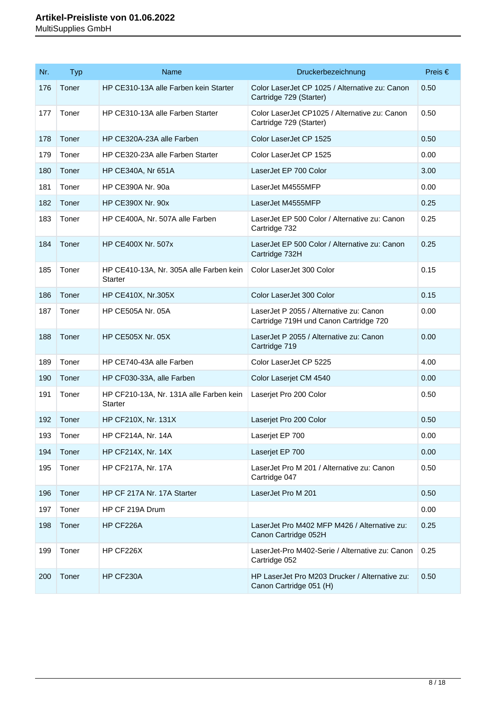| Nr. | <b>Typ</b> | Name                                                      | Druckerbezeichnung                                                                | Preis $\in$ |
|-----|------------|-----------------------------------------------------------|-----------------------------------------------------------------------------------|-------------|
| 176 | Toner      | HP CE310-13A alle Farben kein Starter                     | Color LaserJet CP 1025 / Alternative zu: Canon<br>Cartridge 729 (Starter)         | 0.50        |
| 177 | Toner      | HP CE310-13A alle Farben Starter                          | Color LaserJet CP1025 / Alternative zu: Canon<br>Cartridge 729 (Starter)          | 0.50        |
| 178 | Toner      | HP CE320A-23A alle Farben                                 | Color LaserJet CP 1525                                                            | 0.50        |
| 179 | Toner      | HP CE320-23A alle Farben Starter                          | Color LaserJet CP 1525                                                            | 0.00        |
| 180 | Toner      | HP CE340A, Nr 651A                                        | LaserJet EP 700 Color                                                             | 3.00        |
| 181 | Toner      | HP CE390A Nr. 90a                                         | LaserJet M4555MFP                                                                 | 0.00        |
| 182 | Toner      | <b>HP CE390X Nr. 90x</b>                                  | LaserJet M4555MFP                                                                 | 0.25        |
| 183 | Toner      | HP CE400A, Nr. 507A alle Farben                           | LaserJet EP 500 Color / Alternative zu: Canon<br>Cartridge 732                    | 0.25        |
| 184 | Toner      | <b>HP CE400X Nr. 507x</b>                                 | LaserJet EP 500 Color / Alternative zu: Canon<br>Cartridge 732H                   | 0.25        |
| 185 | Toner      | HP CE410-13A, Nr. 305A alle Farben kein<br><b>Starter</b> | Color LaserJet 300 Color                                                          | 0.15        |
| 186 | Toner      | <b>HP CE410X, Nr.305X</b>                                 | Color LaserJet 300 Color                                                          | 0.15        |
| 187 | Toner      | <b>HP CE505A Nr. 05A</b>                                  | LaserJet P 2055 / Alternative zu: Canon<br>Cartridge 719H und Canon Cartridge 720 | 0.00        |
| 188 | Toner      | <b>HP CE505X Nr. 05X</b>                                  | LaserJet P 2055 / Alternative zu: Canon<br>Cartridge 719                          | 0.00        |
| 189 | Toner      | HP CE740-43A alle Farben                                  | Color LaserJet CP 5225                                                            | 4.00        |
| 190 | Toner      | HP CF030-33A, alle Farben                                 | Color Laserjet CM 4540                                                            | 0.00        |
| 191 | Toner      | HP CF210-13A, Nr. 131A alle Farben kein<br><b>Starter</b> | Laserjet Pro 200 Color                                                            | 0.50        |
| 192 | Toner      | HP CF210X, Nr. 131X                                       | Laserjet Pro 200 Color                                                            | 0.50        |
| 193 | Toner      | HP CF214A, Nr. 14A                                        | Laserjet EP 700                                                                   | 0.00        |
| 194 | Toner      | HP CF214X, Nr. 14X                                        | Laserjet EP 700                                                                   | 0.00        |
| 195 | Toner      | <b>HP CF217A, Nr. 17A</b>                                 | LaserJet Pro M 201 / Alternative zu: Canon<br>Cartridge 047                       | 0.50        |
| 196 | Toner      | HP CF 217A Nr. 17A Starter                                | LaserJet Pro M 201                                                                | 0.50        |
| 197 | Toner      | HP CF 219A Drum                                           |                                                                                   | 0.00        |
| 198 | Toner      | HP CF226A                                                 | LaserJet Pro M402 MFP M426 / Alternative zu:<br>Canon Cartridge 052H              | 0.25        |
| 199 | Toner      | HP CF226X                                                 | LaserJet-Pro M402-Serie / Alternative zu: Canon<br>Cartridge 052                  | 0.25        |
| 200 | Toner      | HP CF230A                                                 | HP LaserJet Pro M203 Drucker / Alternative zu:<br>Canon Cartridge 051 (H)         | 0.50        |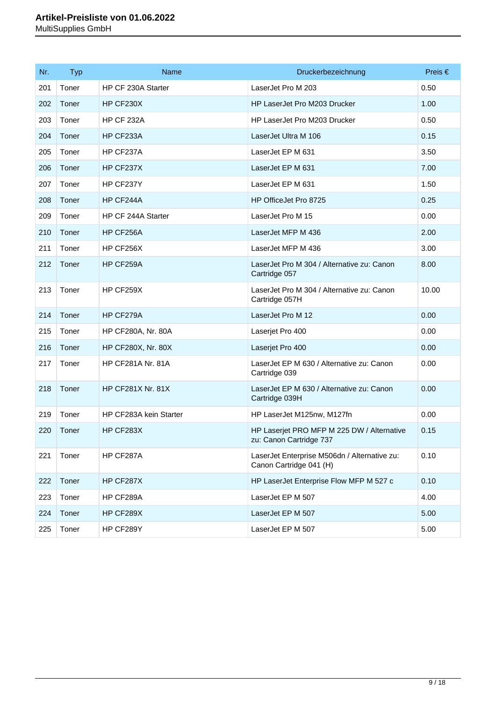| Nr. | <b>Typ</b> | Name                      | Druckerbezeichnung                                                      | Preis $\in$ |
|-----|------------|---------------------------|-------------------------------------------------------------------------|-------------|
| 201 | Toner      | HP CF 230A Starter        | LaserJet Pro M 203                                                      | 0.50        |
| 202 | Toner      | HP CF230X                 | HP LaserJet Pro M203 Drucker                                            | 1.00        |
| 203 | Toner      | <b>HP CF 232A</b>         | HP LaserJet Pro M203 Drucker                                            | 0.50        |
| 204 | Toner      | HP CF233A                 | LaserJet Ultra M 106                                                    | 0.15        |
| 205 | Toner      | HP CF237A                 | LaserJet EP M 631                                                       | 3.50        |
| 206 | Toner      | HP CF237X                 | LaserJet EP M 631                                                       | 7.00        |
| 207 | Toner      | HP CF237Y                 | LaserJet EP M 631                                                       | 1.50        |
| 208 | Toner      | HP CF244A                 | HP OfficeJet Pro 8725                                                   | 0.25        |
| 209 | Toner      | HP CF 244A Starter        | LaserJet Pro M 15                                                       | 0.00        |
| 210 | Toner      | HP CF256A                 | LaserJet MFP M 436                                                      | 2.00        |
| 211 | Toner      | HP CF256X                 | LaserJet MFP M 436                                                      | 3.00        |
| 212 | Toner      | HP CF259A                 | LaserJet Pro M 304 / Alternative zu: Canon<br>Cartridge 057             | 8.00        |
| 213 | Toner      | HP CF259X                 | LaserJet Pro M 304 / Alternative zu: Canon<br>Cartridge 057H            | 10.00       |
| 214 | Toner      | HP CF279A                 | LaserJet Pro M 12                                                       | 0.00        |
| 215 | Toner      | <b>HP CF280A, Nr. 80A</b> | Laserjet Pro 400                                                        | 0.00        |
| 216 | Toner      | HP CF280X, Nr. 80X        | Laserjet Pro 400                                                        | 0.00        |
| 217 | Toner      | <b>HP CF281A Nr. 81A</b>  | LaserJet EP M 630 / Alternative zu: Canon<br>Cartridge 039              | 0.00        |
| 218 | Toner      | <b>HP CF281X Nr. 81X</b>  | LaserJet EP M 630 / Alternative zu: Canon<br>Cartridge 039H             | 0.00        |
| 219 | Toner      | HP CF283A kein Starter    | HP LaserJet M125nw, M127fn                                              | 0.00        |
| 220 | Toner      | HP CF283X                 | HP Laserjet PRO MFP M 225 DW / Alternative<br>zu: Canon Cartridge 737   | 0.15        |
| 221 | Toner      | HP CF287A                 | LaserJet Enterprise M506dn / Alternative zu:<br>Canon Cartridge 041 (H) | 0.10        |
| 222 | Toner      | HP CF287X                 | HP LaserJet Enterprise Flow MFP M 527 c                                 | 0.10        |
| 223 | Toner      | HP CF289A                 | LaserJet EP M 507                                                       | 4.00        |
| 224 | Toner      | HP CF289X                 | LaserJet EP M 507                                                       | 5.00        |
| 225 | Toner      | HP CF289Y                 | LaserJet EP M 507                                                       | 5.00        |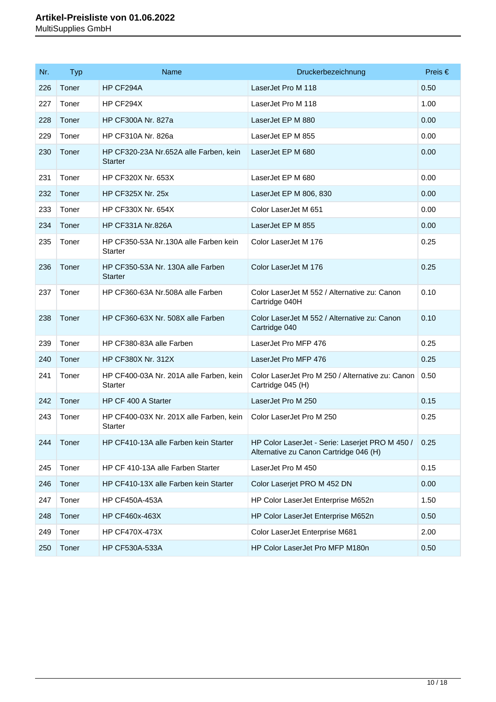| Nr. | <b>Typ</b> | Name                                                     | Druckerbezeichnung                                                                        | Preis $\in$ |
|-----|------------|----------------------------------------------------------|-------------------------------------------------------------------------------------------|-------------|
| 226 | Toner      | HP CF294A                                                | LaserJet Pro M 118                                                                        | 0.50        |
| 227 | Toner      | HP CF294X                                                | LaserJet Pro M 118                                                                        | 1.00        |
| 228 | Toner      | <b>HP CF300A Nr. 827a</b>                                | LaserJet EP M 880                                                                         | 0.00        |
| 229 | Toner      | <b>HP CF310A Nr. 826a</b>                                | LaserJet EP M 855                                                                         | 0.00        |
| 230 | Toner      | HP CF320-23A Nr.652A alle Farben, kein<br><b>Starter</b> | LaserJet EP M 680                                                                         | 0.00        |
| 231 | Toner      | <b>HP CF320X Nr. 653X</b>                                | LaserJet EP M 680                                                                         | 0.00        |
| 232 | Toner      | <b>HP CF325X Nr. 25x</b>                                 | LaserJet EP M 806, 830                                                                    | 0.00        |
| 233 | Toner      | <b>HP CF330X Nr. 654X</b>                                | Color LaserJet M 651                                                                      | 0.00        |
| 234 | Toner      | <b>HP CF331A Nr.826A</b>                                 | LaserJet EP M 855                                                                         | 0.00        |
| 235 | Toner      | HP CF350-53A Nr.130A alle Farben kein<br>Starter         | Color LaserJet M 176                                                                      | 0.25        |
| 236 | Toner      | HP CF350-53A Nr. 130A alle Farben<br><b>Starter</b>      | Color LaserJet M 176                                                                      | 0.25        |
| 237 | Toner      | HP CF360-63A Nr.508A alle Farben                         | Color LaserJet M 552 / Alternative zu: Canon<br>Cartridge 040H                            | 0.10        |
| 238 | Toner      | HP CF360-63X Nr. 508X alle Farben                        | Color LaserJet M 552 / Alternative zu: Canon<br>Cartridge 040                             | 0.10        |
| 239 | Toner      | HP CF380-83A alle Farben                                 | LaserJet Pro MFP 476                                                                      | 0.25        |
| 240 | Toner      | <b>HP CF380X Nr. 312X</b>                                | LaserJet Pro MFP 476                                                                      | 0.25        |
| 241 | Toner      | HP CF400-03A Nr. 201A alle Farben, kein<br>Starter       | Color LaserJet Pro M 250 / Alternative zu: Canon<br>Cartridge 045 (H)                     | 0.50        |
| 242 | Toner      | HP CF 400 A Starter                                      | LaserJet Pro M 250                                                                        | 0.15        |
| 243 | Toner      | HP CF400-03X Nr. 201X alle Farben, kein<br>Starter       | Color LaserJet Pro M 250                                                                  | 0.25        |
| 244 | Toner      | HP CF410-13A alle Farben kein Starter                    | HP Color LaserJet - Serie: Laserjet PRO M 450 /<br>Alternative zu Canon Cartridge 046 (H) | 0.25        |
| 245 | Toner      | HP CF 410-13A alle Farben Starter                        | LaserJet Pro M 450                                                                        | 0.15        |
| 246 | Toner      | HP CF410-13X alle Farben kein Starter                    | Color Laserjet PRO M 452 DN                                                               | 0.00        |
| 247 | Toner      | <b>HP CF450A-453A</b>                                    | HP Color LaserJet Enterprise M652n                                                        | 1.50        |
| 248 | Toner      | HP CF460x-463X                                           | HP Color LaserJet Enterprise M652n                                                        | 0.50        |
| 249 | Toner      | <b>HP CF470X-473X</b>                                    | Color LaserJet Enterprise M681                                                            | 2.00        |
| 250 | Toner      | HP CF530A-533A                                           | HP Color LaserJet Pro MFP M180n                                                           | 0.50        |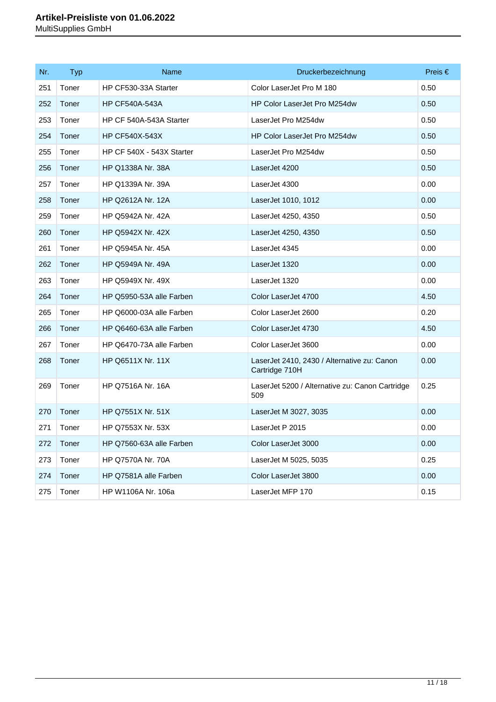| Nr. | <b>Typ</b> | <b>Name</b>               | Druckerbezeichnung                                            | Preis $\epsilon$ |
|-----|------------|---------------------------|---------------------------------------------------------------|------------------|
| 251 | Toner      | HP CF530-33A Starter      | Color LaserJet Pro M 180                                      | 0.50             |
| 252 | Toner      | <b>HP CF540A-543A</b>     | HP Color LaserJet Pro M254dw                                  | 0.50             |
| 253 | Toner      | HP CF 540A-543A Starter   | LaserJet Pro M254dw                                           | 0.50             |
| 254 | Toner      | <b>HP CF540X-543X</b>     | HP Color LaserJet Pro M254dw                                  | 0.50             |
| 255 | Toner      | HP CF 540X - 543X Starter | LaserJet Pro M254dw                                           | 0.50             |
| 256 | Toner      | HP Q1338A Nr. 38A         | LaserJet 4200                                                 | 0.50             |
| 257 | Toner      | HP Q1339A Nr. 39A         | LaserJet 4300                                                 | 0.00             |
| 258 | Toner      | <b>HP Q2612A Nr. 12A</b>  | LaserJet 1010, 1012                                           | 0.00             |
| 259 | Toner      | HP Q5942A Nr. 42A         | LaserJet 4250, 4350                                           | 0.50             |
| 260 | Toner      | HP Q5942X Nr. 42X         | LaserJet 4250, 4350                                           | 0.50             |
| 261 | Toner      | HP Q5945A Nr. 45A         | LaserJet 4345                                                 | 0.00             |
| 262 | Toner      | HP Q5949A Nr. 49A         | LaserJet 1320                                                 | 0.00             |
| 263 | Toner      | HP Q5949X Nr. 49X         | LaserJet 1320                                                 | 0.00             |
| 264 | Toner      | HP Q5950-53A alle Farben  | Color LaserJet 4700                                           | 4.50             |
| 265 | Toner      | HP Q6000-03A alle Farben  | Color LaserJet 2600                                           | 0.20             |
| 266 | Toner      | HP Q6460-63A alle Farben  | Color LaserJet 4730                                           | 4.50             |
| 267 | Toner      | HP Q6470-73A alle Farben  | Color LaserJet 3600                                           | 0.00             |
| 268 | Toner      | HP Q6511X Nr. 11X         | LaserJet 2410, 2430 / Alternative zu: Canon<br>Cartridge 710H | 0.00             |
| 269 | Toner      | <b>HP Q7516A Nr. 16A</b>  | LaserJet 5200 / Alternative zu: Canon Cartridge<br>509        | 0.25             |
| 270 | Toner      | HP Q7551X Nr. 51X         | LaserJet M 3027, 3035                                         | 0.00             |
| 271 | Toner      | HP Q7553X Nr. 53X         | LaserJet P 2015                                               | 0.00             |
| 272 | Toner      | HP Q7560-63A alle Farben  | Color LaserJet 3000                                           | 0.00             |
| 273 | Toner      | <b>HP Q7570A Nr. 70A</b>  | LaserJet M 5025, 5035                                         | 0.25             |
| 274 | Toner      | HP Q7581A alle Farben     | Color LaserJet 3800                                           | 0.00             |
| 275 | Toner      | HP W1106A Nr. 106a        | LaserJet MFP 170                                              | 0.15             |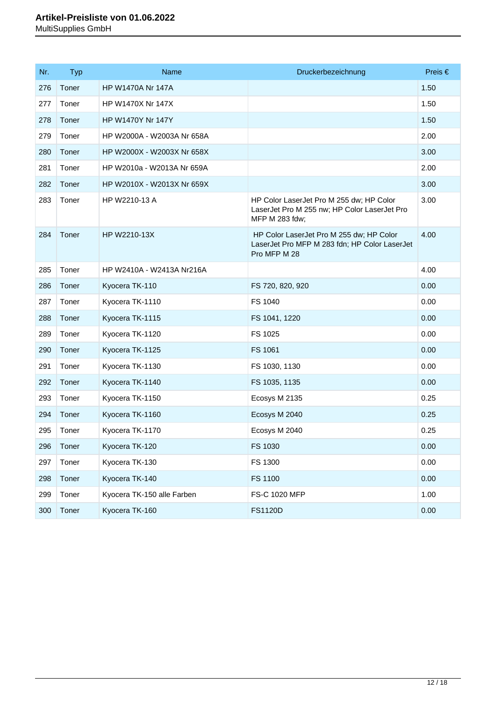| Nr. | <b>Typ</b> | <b>Name</b>                | Druckerbezeichnung                                                                                         | Preis $\in$ |
|-----|------------|----------------------------|------------------------------------------------------------------------------------------------------------|-------------|
| 276 | Toner      | <b>HP W1470A Nr 147A</b>   |                                                                                                            | 1.50        |
| 277 | Toner      | HP W1470X Nr 147X          |                                                                                                            | 1.50        |
| 278 | Toner      | HP W1470Y Nr 147Y          |                                                                                                            | 1.50        |
| 279 | Toner      | HP W2000A - W2003A Nr 658A |                                                                                                            | 2.00        |
| 280 | Toner      | HP W2000X - W2003X Nr 658X |                                                                                                            | 3.00        |
| 281 | Toner      | HP W2010a - W2013A Nr 659A |                                                                                                            | 2.00        |
| 282 | Toner      | HP W2010X - W2013X Nr 659X |                                                                                                            | 3.00        |
| 283 | Toner      | HP W2210-13 A              | HP Color LaserJet Pro M 255 dw; HP Color<br>LaserJet Pro M 255 nw; HP Color LaserJet Pro<br>MFP M 283 fdw; | 3.00        |
| 284 | Toner      | HP W2210-13X               | HP Color LaserJet Pro M 255 dw; HP Color<br>LaserJet Pro MFP M 283 fdn; HP Color LaserJet<br>Pro MFP M 28  | 4.00        |
| 285 | Toner      | HP W2410A - W2413A Nr216A  |                                                                                                            | 4.00        |
| 286 | Toner      | Kyocera TK-110             | FS 720, 820, 920                                                                                           | 0.00        |
| 287 | Toner      | Kyocera TK-1110            | FS 1040                                                                                                    | 0.00        |
| 288 | Toner      | Kyocera TK-1115            | FS 1041, 1220                                                                                              | 0.00        |
| 289 | Toner      | Kyocera TK-1120            | FS 1025                                                                                                    | 0.00        |
| 290 | Toner      | Kyocera TK-1125            | FS 1061                                                                                                    | 0.00        |
| 291 | Toner      | Kyocera TK-1130            | FS 1030, 1130                                                                                              | 0.00        |
| 292 | Toner      | Kyocera TK-1140            | FS 1035, 1135                                                                                              | 0.00        |
| 293 | Toner      | Kyocera TK-1150            | Ecosys M 2135                                                                                              | 0.25        |
| 294 | Toner      | Kyocera TK-1160            | Ecosys M 2040                                                                                              | 0.25        |
| 295 | Toner      | Kyocera TK-1170            | Ecosys M 2040                                                                                              | 0.25        |
| 296 | Toner      | Kyocera TK-120             | FS 1030                                                                                                    | 0.00        |
| 297 | Toner      | Kyocera TK-130             | FS 1300                                                                                                    | 0.00        |
| 298 | Toner      | Kyocera TK-140             | <b>FS 1100</b>                                                                                             | 0.00        |
| 299 | Toner      | Kyocera TK-150 alle Farben | FS-C 1020 MFP                                                                                              | 1.00        |
| 300 | Toner      | Kyocera TK-160             | <b>FS1120D</b>                                                                                             | 0.00        |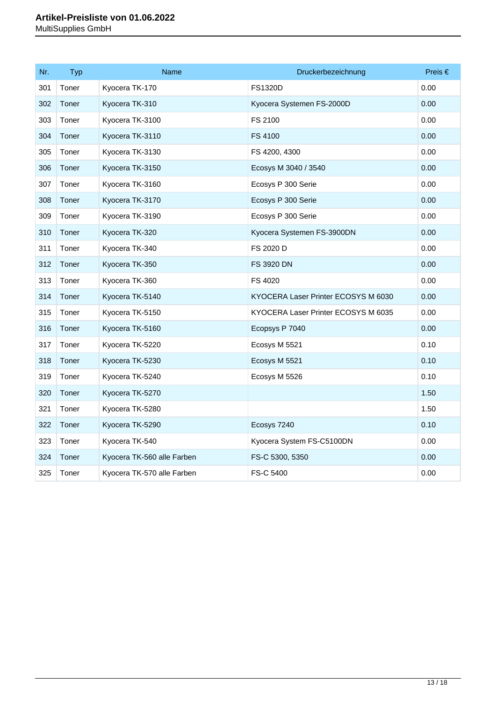| Nr. | Typ   | <b>Name</b>                | Druckerbezeichnung                  | Preis € |
|-----|-------|----------------------------|-------------------------------------|---------|
| 301 | Toner | Kyocera TK-170             | <b>FS1320D</b>                      | 0.00    |
| 302 | Toner | Kyocera TK-310             | Kyocera Systemen FS-2000D           | 0.00    |
| 303 | Toner | Kyocera TK-3100            | FS 2100                             | 0.00    |
| 304 | Toner | Kyocera TK-3110            | FS 4100                             | 0.00    |
| 305 | Toner | Kyocera TK-3130            | FS 4200, 4300                       | 0.00    |
| 306 | Toner | Kyocera TK-3150            | Ecosys M 3040 / 3540                | 0.00    |
| 307 | Toner | Kyocera TK-3160            | Ecosys P 300 Serie                  | 0.00    |
| 308 | Toner | Kyocera TK-3170            | Ecosys P 300 Serie                  | 0.00    |
| 309 | Toner | Kyocera TK-3190            | Ecosys P 300 Serie                  | 0.00    |
| 310 | Toner | Kyocera TK-320             | Kyocera Systemen FS-3900DN          | 0.00    |
| 311 | Toner | Kyocera TK-340             | FS 2020 D                           | 0.00    |
| 312 | Toner | Kyocera TK-350             | <b>FS 3920 DN</b>                   | 0.00    |
| 313 | Toner | Kyocera TK-360             | FS 4020                             | 0.00    |
| 314 | Toner | Kyocera TK-5140            | KYOCERA Laser Printer ECOSYS M 6030 | 0.00    |
| 315 | Toner | Kyocera TK-5150            | KYOCERA Laser Printer ECOSYS M 6035 | 0.00    |
| 316 | Toner | Kyocera TK-5160            | Ecopsys P 7040                      | 0.00    |
| 317 | Toner | Kyocera TK-5220            | Ecosys M 5521                       | 0.10    |
| 318 | Toner | Kyocera TK-5230            | Ecosys M 5521                       | 0.10    |
| 319 | Toner | Kyocera TK-5240            | Ecosys M 5526                       | 0.10    |
| 320 | Toner | Kyocera TK-5270            |                                     | 1.50    |
| 321 | Toner | Kyocera TK-5280            |                                     | 1.50    |
| 322 | Toner | Kyocera TK-5290            | Ecosys 7240                         | 0.10    |
| 323 | Toner | Kyocera TK-540             | Kyocera System FS-C5100DN           | 0.00    |
| 324 | Toner | Kyocera TK-560 alle Farben | FS-C 5300, 5350                     | 0.00    |
| 325 | Toner | Kyocera TK-570 alle Farben | FS-C 5400                           | 0.00    |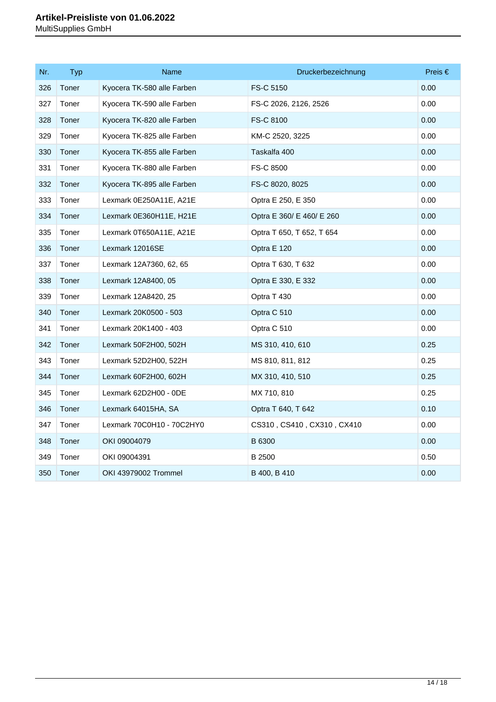| Nr. | <b>Typ</b> | Name                       | Druckerbezeichnung         | Preis $\in$ |
|-----|------------|----------------------------|----------------------------|-------------|
| 326 | Toner      | Kyocera TK-580 alle Farben | FS-C 5150                  | 0.00        |
| 327 | Toner      | Kyocera TK-590 alle Farben | FS-C 2026, 2126, 2526      | 0.00        |
| 328 | Toner      | Kyocera TK-820 alle Farben | FS-C 8100                  | 0.00        |
| 329 | Toner      | Kyocera TK-825 alle Farben | KM-C 2520, 3225            | 0.00        |
| 330 | Toner      | Kyocera TK-855 alle Farben | Taskalfa 400               | 0.00        |
| 331 | Toner      | Kyocera TK-880 alle Farben | FS-C 8500                  | 0.00        |
| 332 | Toner      | Kyocera TK-895 alle Farben | FS-C 8020, 8025            | 0.00        |
| 333 | Toner      | Lexmark 0E250A11E, A21E    | Optra E 250, E 350         | 0.00        |
| 334 | Toner      | Lexmark 0E360H11E, H21E    | Optra E 360/ E 460/ E 260  | 0.00        |
| 335 | Toner      | Lexmark 0T650A11E, A21E    | Optra T 650, T 652, T 654  | 0.00        |
| 336 | Toner      | Lexmark 12016SE            | Optra E 120                | 0.00        |
| 337 | Toner      | Lexmark 12A7360, 62, 65    | Optra T 630, T 632         | 0.00        |
| 338 | Toner      | Lexmark 12A8400, 05        | Optra E 330, E 332         | 0.00        |
| 339 | Toner      | Lexmark 12A8420, 25        | Optra T 430                | 0.00        |
| 340 | Toner      | Lexmark 20K0500 - 503      | Optra C 510                | 0.00        |
| 341 | Toner      | Lexmark 20K1400 - 403      | Optra C 510                | 0.00        |
| 342 | Toner      | Lexmark 50F2H00, 502H      | MS 310, 410, 610           | 0.25        |
| 343 | Toner      | Lexmark 52D2H00, 522H      | MS 810, 811, 812           | 0.25        |
| 344 | Toner      | Lexmark 60F2H00, 602H      | MX 310, 410, 510           | 0.25        |
| 345 | Toner      | Lexmark 62D2H00 - 0DE      | MX 710, 810                | 0.25        |
| 346 | Toner      | Lexmark 64015HA, SA        | Optra T 640, T 642         | 0.10        |
| 347 | Toner      | Lexmark 70C0H10 - 70C2HY0  | CS310, CS410, CX310, CX410 | 0.00        |
| 348 | Toner      | OKI 09004079               | B 6300                     | 0.00        |
| 349 | Toner      | OKI 09004391               | B 2500                     | 0.50        |
| 350 | Toner      | OKI 43979002 Trommel       | B 400, B 410               | 0.00        |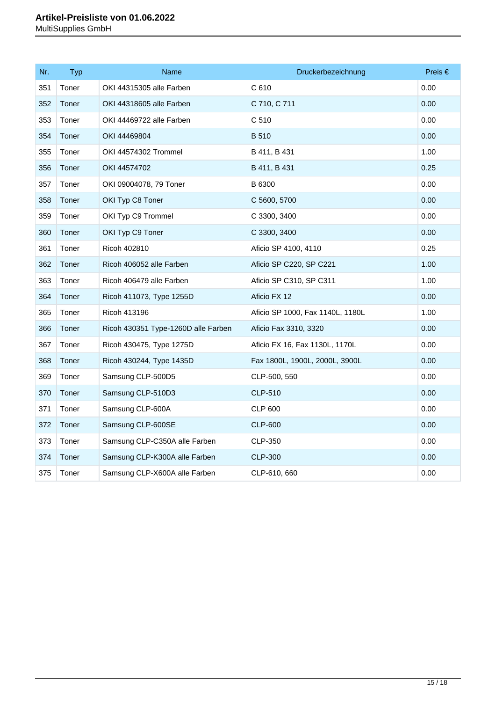| Nr. | <b>Typ</b> | Name                                | Druckerbezeichnung               | Preis $\in$ |
|-----|------------|-------------------------------------|----------------------------------|-------------|
| 351 | Toner      | OKI 44315305 alle Farben            | C 610                            | 0.00        |
| 352 | Toner      | OKI 44318605 alle Farben            | C 710, C 711                     | 0.00        |
| 353 | Toner      | OKI 44469722 alle Farben            | C 510                            | 0.00        |
| 354 | Toner      | OKI 44469804                        | <b>B</b> 510                     | 0.00        |
| 355 | Toner      | OKI 44574302 Trommel                | B 411, B 431                     | 1.00        |
| 356 | Toner      | OKI 44574702                        | B 411, B 431                     | 0.25        |
| 357 | Toner      | OKI 09004078, 79 Toner              | B 6300                           | 0.00        |
| 358 | Toner      | OKI Typ C8 Toner                    | C 5600, 5700                     | 0.00        |
| 359 | Toner      | OKI Typ C9 Trommel                  | C 3300, 3400                     | 0.00        |
| 360 | Toner      | OKI Typ C9 Toner                    | C 3300, 3400                     | 0.00        |
| 361 | Toner      | Ricoh 402810                        | Aficio SP 4100, 4110             | 0.25        |
| 362 | Toner      | Ricoh 406052 alle Farben            | Aficio SP C220, SP C221          | 1.00        |
| 363 | Toner      | Ricoh 406479 alle Farben            | Aficio SP C310, SP C311          | 1.00        |
| 364 | Toner      | Ricoh 411073, Type 1255D            | Aficio FX 12                     | 0.00        |
| 365 | Toner      | Ricoh 413196                        | Aficio SP 1000, Fax 1140L, 1180L | 1.00        |
| 366 | Toner      | Ricoh 430351 Type-1260D alle Farben | Aficio Fax 3310, 3320            | 0.00        |
| 367 | Toner      | Ricoh 430475, Type 1275D            | Aficio FX 16, Fax 1130L, 1170L   | 0.00        |
| 368 | Toner      | Ricoh 430244, Type 1435D            | Fax 1800L, 1900L, 2000L, 3900L   | 0.00        |
| 369 | Toner      | Samsung CLP-500D5                   | CLP-500, 550                     | 0.00        |
| 370 | Toner      | Samsung CLP-510D3                   | <b>CLP-510</b>                   | 0.00        |
| 371 | Toner      | Samsung CLP-600A                    | <b>CLP 600</b>                   | 0.00        |
| 372 | Toner      | Samsung CLP-600SE                   | <b>CLP-600</b>                   | 0.00        |
| 373 | Toner      | Samsung CLP-C350A alle Farben       | CLP-350                          | 0.00        |
| 374 | Toner      | Samsung CLP-K300A alle Farben       | CLP-300                          | 0.00        |
| 375 | Toner      | Samsung CLP-X600A alle Farben       | CLP-610, 660                     | 0.00        |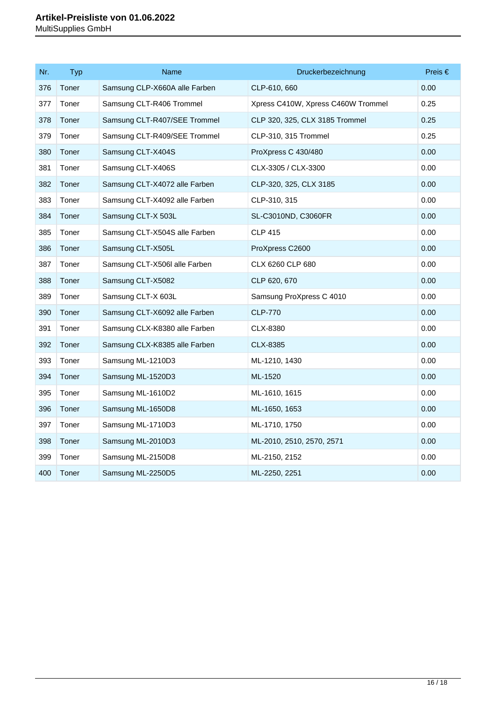| Nr. | Typ   | <b>Name</b>                   | Druckerbezeichnung                 | Preis € |
|-----|-------|-------------------------------|------------------------------------|---------|
| 376 | Toner | Samsung CLP-X660A alle Farben | CLP-610, 660                       | 0.00    |
| 377 | Toner | Samsung CLT-R406 Trommel      | Xpress C410W, Xpress C460W Trommel | 0.25    |
| 378 | Toner | Samsung CLT-R407/SEE Trommel  | CLP 320, 325, CLX 3185 Trommel     | 0.25    |
| 379 | Toner | Samsung CLT-R409/SEE Trommel  | CLP-310, 315 Trommel               | 0.25    |
| 380 | Toner | Samsung CLT-X404S             | ProXpress C 430/480                | 0.00    |
| 381 | Toner | Samsung CLT-X406S             | CLX-3305 / CLX-3300                | 0.00    |
| 382 | Toner | Samsung CLT-X4072 alle Farben | CLP-320, 325, CLX 3185             | 0.00    |
| 383 | Toner | Samsung CLT-X4092 alle Farben | CLP-310, 315                       | 0.00    |
| 384 | Toner | Samsung CLT-X 503L            | SL-C3010ND, C3060FR                | 0.00    |
| 385 | Toner | Samsung CLT-X504S alle Farben | <b>CLP 415</b>                     | 0.00    |
| 386 | Toner | Samsung CLT-X505L             | ProXpress C2600                    | 0.00    |
| 387 | Toner | Samsung CLT-X506l alle Farben | CLX 6260 CLP 680                   | 0.00    |
| 388 | Toner | Samsung CLT-X5082             | CLP 620, 670                       | 0.00    |
| 389 | Toner | Samsung CLT-X 603L            | Samsung ProXpress C 4010           | 0.00    |
| 390 | Toner | Samsung CLT-X6092 alle Farben | <b>CLP-770</b>                     | 0.00    |
| 391 | Toner | Samsung CLX-K8380 alle Farben | CLX-8380                           | 0.00    |
| 392 | Toner | Samsung CLX-K8385 alle Farben | CLX-8385                           | 0.00    |
| 393 | Toner | Samsung ML-1210D3             | ML-1210, 1430                      | 0.00    |
| 394 | Toner | Samsung ML-1520D3             | ML-1520                            | 0.00    |
| 395 | Toner | Samsung ML-1610D2             | ML-1610, 1615                      | 0.00    |
| 396 | Toner | Samsung ML-1650D8             | ML-1650, 1653                      | 0.00    |
| 397 | Toner | Samsung ML-1710D3             | ML-1710, 1750                      | 0.00    |
| 398 | Toner | Samsung ML-2010D3             | ML-2010, 2510, 2570, 2571          | 0.00    |
| 399 | Toner | Samsung ML-2150D8             | ML-2150, 2152                      | 0.00    |
| 400 | Toner | Samsung ML-2250D5             | ML-2250, 2251                      | 0.00    |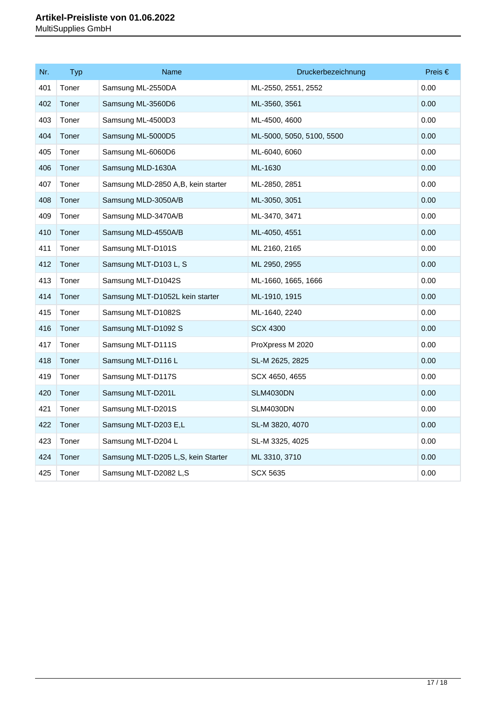| Nr. | Typ   | <b>Name</b>                         | Druckerbezeichnung        | Preis € |
|-----|-------|-------------------------------------|---------------------------|---------|
| 401 | Toner | Samsung ML-2550DA                   | ML-2550, 2551, 2552       | 0.00    |
| 402 | Toner | Samsung ML-3560D6                   | ML-3560, 3561             | 0.00    |
| 403 | Toner | Samsung ML-4500D3                   | ML-4500, 4600             | 0.00    |
| 404 | Toner | Samsung ML-5000D5                   | ML-5000, 5050, 5100, 5500 | 0.00    |
| 405 | Toner | Samsung ML-6060D6                   | ML-6040, 6060             | 0.00    |
| 406 | Toner | Samsung MLD-1630A                   | ML-1630                   | 0.00    |
| 407 | Toner | Samsung MLD-2850 A,B, kein starter  | ML-2850, 2851             | 0.00    |
| 408 | Toner | Samsung MLD-3050A/B                 | ML-3050, 3051             | 0.00    |
| 409 | Toner | Samsung MLD-3470A/B                 | ML-3470, 3471             | 0.00    |
| 410 | Toner | Samsung MLD-4550A/B                 | ML-4050, 4551             | 0.00    |
| 411 | Toner | Samsung MLT-D101S                   | ML 2160, 2165             | 0.00    |
| 412 | Toner | Samsung MLT-D103 L, S               | ML 2950, 2955             | 0.00    |
| 413 | Toner | Samsung MLT-D1042S                  | ML-1660, 1665, 1666       | 0.00    |
| 414 | Toner | Samsung MLT-D1052L kein starter     | ML-1910, 1915             | 0.00    |
| 415 | Toner | Samsung MLT-D1082S                  | ML-1640, 2240             | 0.00    |
| 416 | Toner | Samsung MLT-D1092 S                 | <b>SCX 4300</b>           | 0.00    |
| 417 | Toner | Samsung MLT-D111S                   | ProXpress M 2020          | 0.00    |
| 418 | Toner | Samsung MLT-D116 L                  | SL-M 2625, 2825           | 0.00    |
| 419 | Toner | Samsung MLT-D117S                   | SCX 4650, 4655            | 0.00    |
| 420 | Toner | Samsung MLT-D201L                   | <b>SLM4030DN</b>          | 0.00    |
| 421 | Toner | Samsung MLT-D201S                   | <b>SLM4030DN</b>          | 0.00    |
| 422 | Toner | Samsung MLT-D203 E,L                | SL-M 3820, 4070           | 0.00    |
| 423 | Toner | Samsung MLT-D204 L                  | SL-M 3325, 4025           | 0.00    |
| 424 | Toner | Samsung MLT-D205 L, S, kein Starter | ML 3310, 3710             | 0.00    |
| 425 | Toner | Samsung MLT-D2082 L,S               | <b>SCX 5635</b>           | 0.00    |